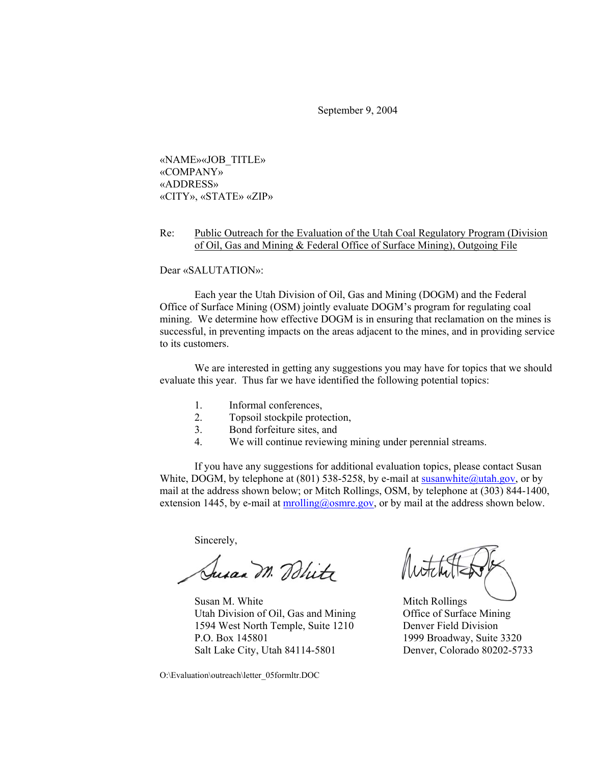September 9, 2004

«NAME»«JOB\_TITLE» «COMPANY» «ADDRESS» «CITY», «STATE» «ZIP»

## Re: Public Outreach for the Evaluation of the Utah Coal Regulatory Program (Division of Oil, Gas and Mining & Federal Office of Surface Mining), Outgoing File

Dear «SALUTATION»:

Each year the Utah Division of Oil, Gas and Mining (DOGM) and the Federal Office of Surface Mining (OSM) jointly evaluate DOGM's program for regulating coal mining. We determine how effective DOGM is in ensuring that reclamation on the mines is successful, in preventing impacts on the areas adjacent to the mines, and in providing service to its customers.

We are interested in getting any suggestions you may have for topics that we should evaluate this year. Thus far we have identified the following potential topics:

- 1. Informal conferences,
- 2. Topsoil stockpile protection,
- 3. Bond forfeiture sites, and
- 4. We will continue reviewing mining under perennial streams.

If you have any suggestions for additional evaluation topics, please contact Susan White, DOGM, by telephone at (801) 538-5258, by e-mail at susanwhite@utah.gov, or by mail at the address shown below; or Mitch Rollings, OSM, by telephone at (303) 844-1400, extension 1445, by e-mail at  $molling@osmre.gov$ , or by mail at the address shown below.

Sincerely,

Susan M. Blitz

Susan M. White Mitch Rollings Utah Division of Oil, Gas and Mining Office of Surface Mining 1594 West North Temple, Suite 1210 Denver Field Division P.O. Box 145801 1999 Broadway, Suite 3320 Salt Lake City, Utah 84114-5801 Denver, Colorado 80202-5733

O:\Evaluation\outreach\letter\_05formltr.DOC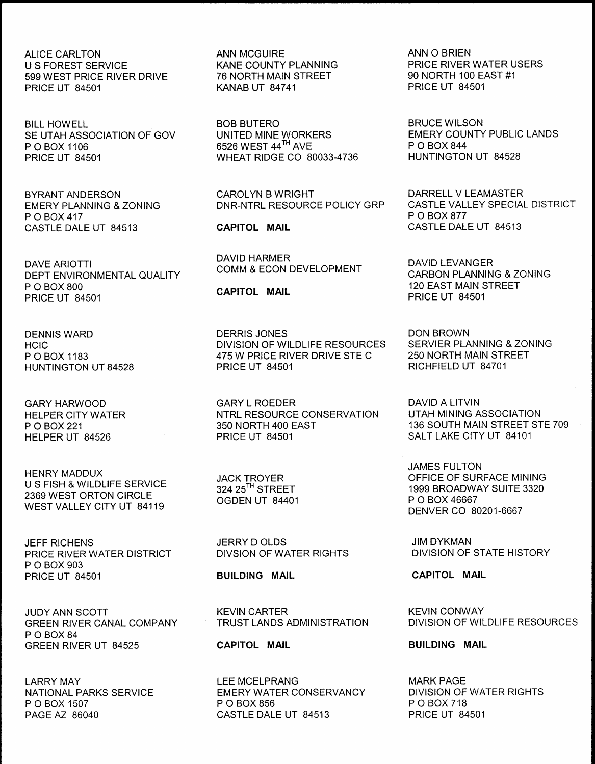ALICE CARLTON ANN MCGUIRE ANN 0 BRIEN 599 WEST PRICE RIVER DRIVE 76 NORTH MAIN STREET 90 NORTH 100 EAST #1 PRICE UT 84501 KANAB UT 84741 PRICE UT 84501

BILL HOWELL GOT THE BOB BUTERO BOR BOR BOB BOT BRUCE WILSON BRUCE AND SELL HOWELL AND SELL AND BOB BUTERO BORRERS AND BRUCE WILSON SE UTAH ASSOCIATION OF GOV UNITED MINE WORKERS EMERY COUNTY PUBLIC LANDS P O BOX 1106<br>
P O BOX 1106 **6526 WEST 44<sup>TH</sup> AVE** P O BOX 844<br>
PRICE UT 84501 **MHEAT RIDGE CO 80033-4736** HUNTINGTON UT 84528

EMERY PLANNING & ZONING DNR-NTRL RESOURCE POLICY GRP CASTLE VALIP O BOX 877 P O BOX 417 P O BOX 877 CASTLE DALE UT 84513 CAPITOL MAIL CASTLE DALE UT 84513

DAVE ARIOTTI DAVID LEVANGER COMM & ECON DEVELOPMENT DEPT ENVIRONMENTAL QUALITY COMM & ECON DEVELOPMENT CARBON PLANNING & ZONING<br>P O BOX 800 **CARITOL MAII** CARITOL MAII 120 EAST MAIN STREET P O BOX 800 120 EAST MAIN STREET CAPITOL MAIL PRICE UT 84501 CAPITOL MAIL PRICE UT 84501

HUNTINGTON UT 84528

HENRY MADDUX U S FISH & WILDLIFE SERVICE 2369 WEST ORTON CIRCLE WEST VALLEY CITY UT 84119

JEFF RICHENS JERRY D OLDS JIM DYKMAN PRICE RIVER WATER DISTRICT P 0 BOX 903 PRICE UT 84501 **BUILDING MAIL CAPITOL MAIL** 

**GREEN RIVER CANAL COMPANY** P 0 BOX 84 GREEN RIVER UT 84525 **CAPITOL MAIL CAPITOL MAIL** BUILDING MAIL

EXANE COUNTY PLANNING<br>
76 NORTH MAIN STREET
20 NORTH 100 EAST #1

WHEAT RIDGE CO 80033-4736

DAVID HARMER

DENNIS WARD DERRIS JONES DON BROWN HCIC DIVISION OF WILDLIFE RESOURCES SERVIER PLANNING & ZONING 475 W PRICE RIVER DRIVE STE C 250 NORTH MAIN STE<br>PRICE UT 84501 PRICHFIELD UT 84701

GARY HARWOOD GARY L ROEDER DAVID A LITVIN HELPER CITY WATER NTRL RESOURCE CONSERVATION<br>P O BOX 221 21 P O BOX 221 350 NORTH 400 EAST 136 SOUTH MAIN STREET STE 709

**OGDEN UT 84401** 

LARRY MAY LEE MCELPRANG MARK PAG E NATIONAL PARKS SERVICE EMERY WATER CONSERVANCY DIVISION OF P O BOX 118 P O BOX 1507 P O BOX 856 P O BOX 1507 P O BOX 718 PAGE AZ 86040 CASTLE DALE UT 84513 PRICE UT 84501

BYRANT ANDERSON CAROLYN B WRIGHT DARRELL V LEAMASTER

SALT LAKE CITY UT 84101

JAMES FULTON JACK TROYER OFFICE OF SURFACE MINING 1999 BROADWAY SUITE 3320<br>P O BOX 46667 DENVER CO 80201-6667

JUDY ANN SCOTT KEVIN CARTER KEVIN CONWAY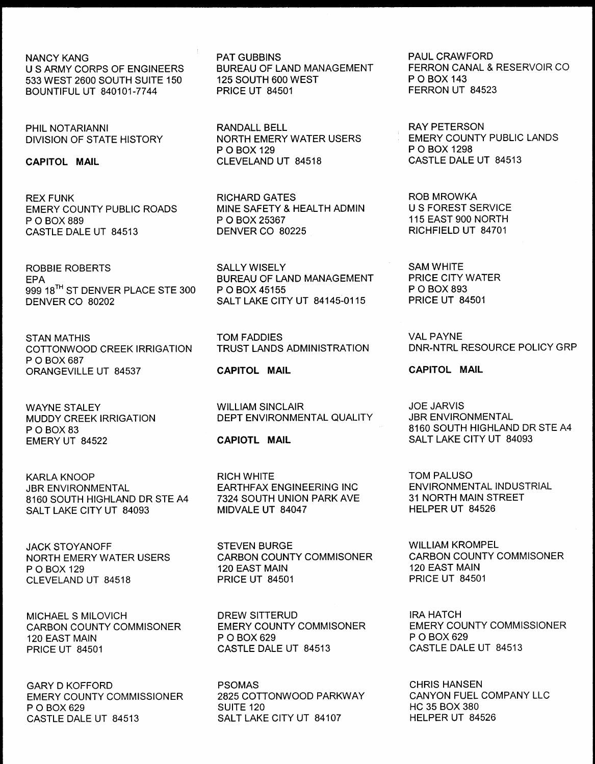NANCY KANG **U S ARMY CORPS OF ENGINEERS** 533 WEST 2600 SOUTH SUITE 150 BOUNTIFUL UT 840101-7744

PHIL NOTARIANNI DIVISION OF STATE HISTORY

CAPITOL MAIL

 

REX FUNK EMERY COUNTY PUBLIC ROADS P 0 BOX 889 CASTLE DALE UT 84513

ROBBIE ROBERTS EPA 999 18<sup>TH</sup> ST DENVER PLACE STE 300 DENVER CO 80202

STAN MATHIS COTTONWOOD CREEK IRRIGATION P 0 BOX 687 ORANGEVILLE UT 84537

WAYNE STALEY MUDDY CREEK IRRIGATION P O BOX 83 EMERY UT 84522

KARLA KNOOP JBR ENVIRONMENTAL 8160 SOUTH HIGHLAND DR STE A4 SALT LAKE CITY UT 84093

JACK STOYANOFF NORTH EMERY WATER USERS • O BOX 129 CLEVELAND UT 84518

MICHAEL S MILOVICH CARBON COUNTY COMMISONER 120 EAST MAIN PRICE UT 84501

GARY D KOFFORD EMERY COUNTY COMMISSIONER • 0 BOX 629 CASTLE DALE UT 84513

PAT GUBBINS BUREAU OF LAND MANAGEMENT 125 SOUTH 600 WEST PRICE UT 84501

RANDALL BELL NORTH EMERY WATER USERS P 0 BOX 129 CLEVELAND UT 84518

RICHARD GATES MINE SAFETY & HEALTH ADMIN P O BOX 25367 DENVER CO 80225

SALLY WISELY BUREAU OF LAND MANAGEMENT P O BOX 45155 SALT LAKE CITY UT 84145-0115

TOM FADDIES TRUST LANDS ADMINISTRATION

CAPITOL MAIL

WILLIAM SINCLAIR DEPT ENVIRONMENTAL QUALITY

CAPIOTL MAIL

RICH WHITE EARTHFAX ENGINEERING INC 7324 SOUTH UNION PARK AVE MIDVALE UT 84047

STEVEN BURGE CARBON COUNTY COMMISONER 120 EAST MAIN PRICE UT 84501

DREW SITTERUD EMERY COUNTY COMMISONER P 0 BOX 629 CASTLE DALE UT 84513

PSOMAS 2825 COTTONWOOD PARKWAY SUITE 120 SALT LAKE CITY UT 84107

PAUL CRAWFORD FERRON CANAL & RESERVOIR CO P 0 BOX 143 FERRON UT 84523

RAY PETERSON EMERY COUNTY PUBLIC LANDS P O BOX 1298 CASTLE DALE UT 84513

ROB MROWKA U S FOREST SERVICE 115 EAST 900 NORTH RICHFIELD UT 84701

SAM WHITE PRICE CITY WATER P 0 BOX 893 PRICE UT 84501

VALPAYNE DNR-NTRL RESOURCE POLICY GRP

CAPITOL MAIL

JOE JARVIS JBR ENVIRONMENTAL 8160 SOUTH HIGHLAND DR STE A4 SALT LAKE CITY UT 84093

TOM PALUSO ENVIRONMENTAL INDUSTRIAL 31 NORTH MAIN STREET HELPER UT 84526

WILLIAM KROMPEL CARBON COUNTY COMMISONER 120 EAST MAIN PRICE UT 84501

IRA HATCH EMERY COUNTY COMMISSIONER P 0 BOX 629 CASTLE DALE UT 84513

CHRIS HANSEN CANYON FUEL COMPANY LLC HC 35 BOX 380 HELPER UT 84526